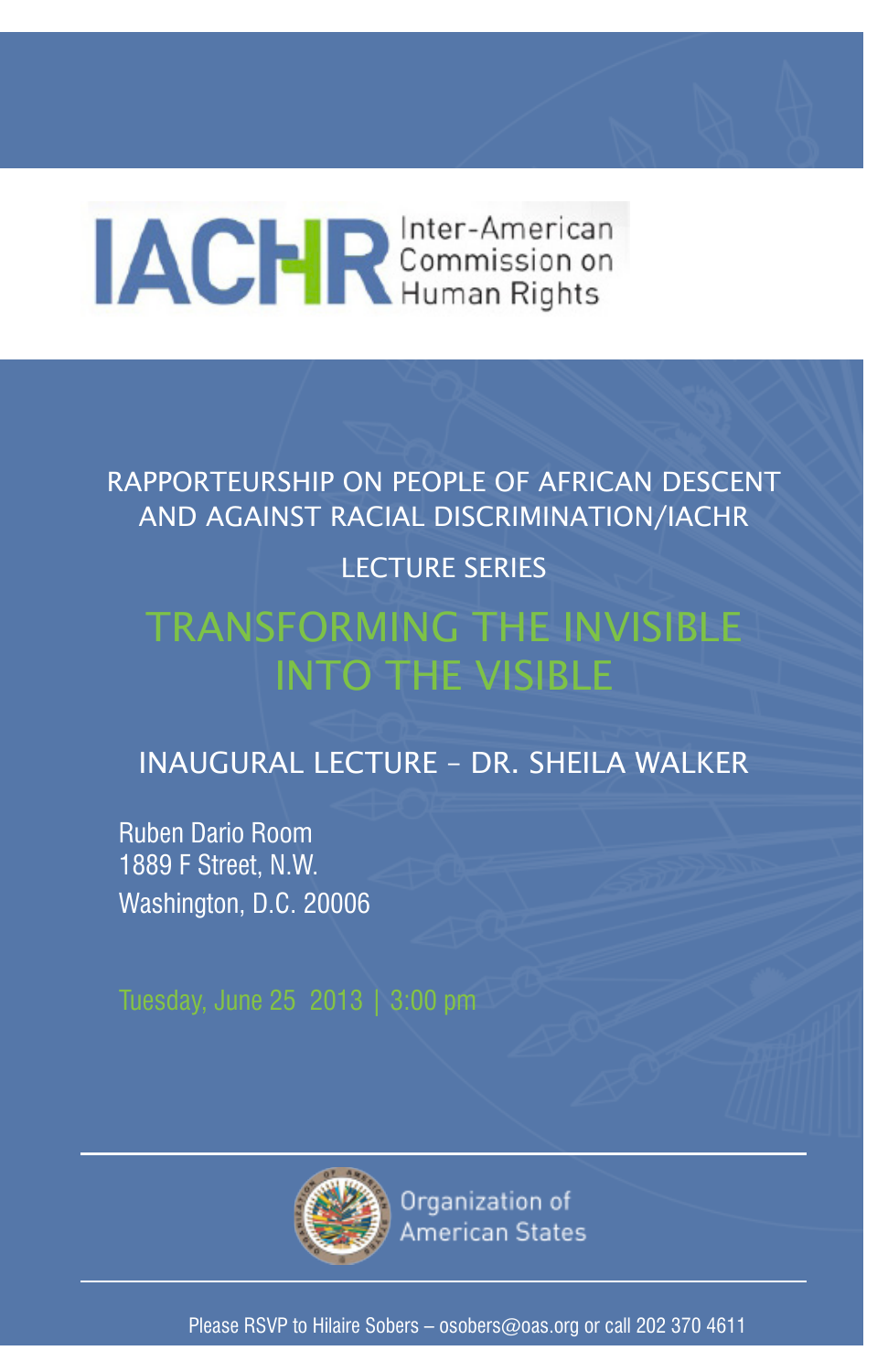# **IACHR** Commission on

RAPPORTEURSHIP ON PEOPLE OF AFRICAN DESCENT AND AGAINST RACIAL DISCRIMINATION/IACHR

### LECTURE SERIES

## TRANSFORMING THE INVISIBLE INTO THE VISIBLE

## INAUGURAL LECTURE – DR. SHEILA WALKER

Ruben Dario Room 1889 F Street, N.W. Washington, D.C. 20006



Organization of American States

Please RSVP to Hilaire Sobers – osobers@oas.org or call 202 370 4611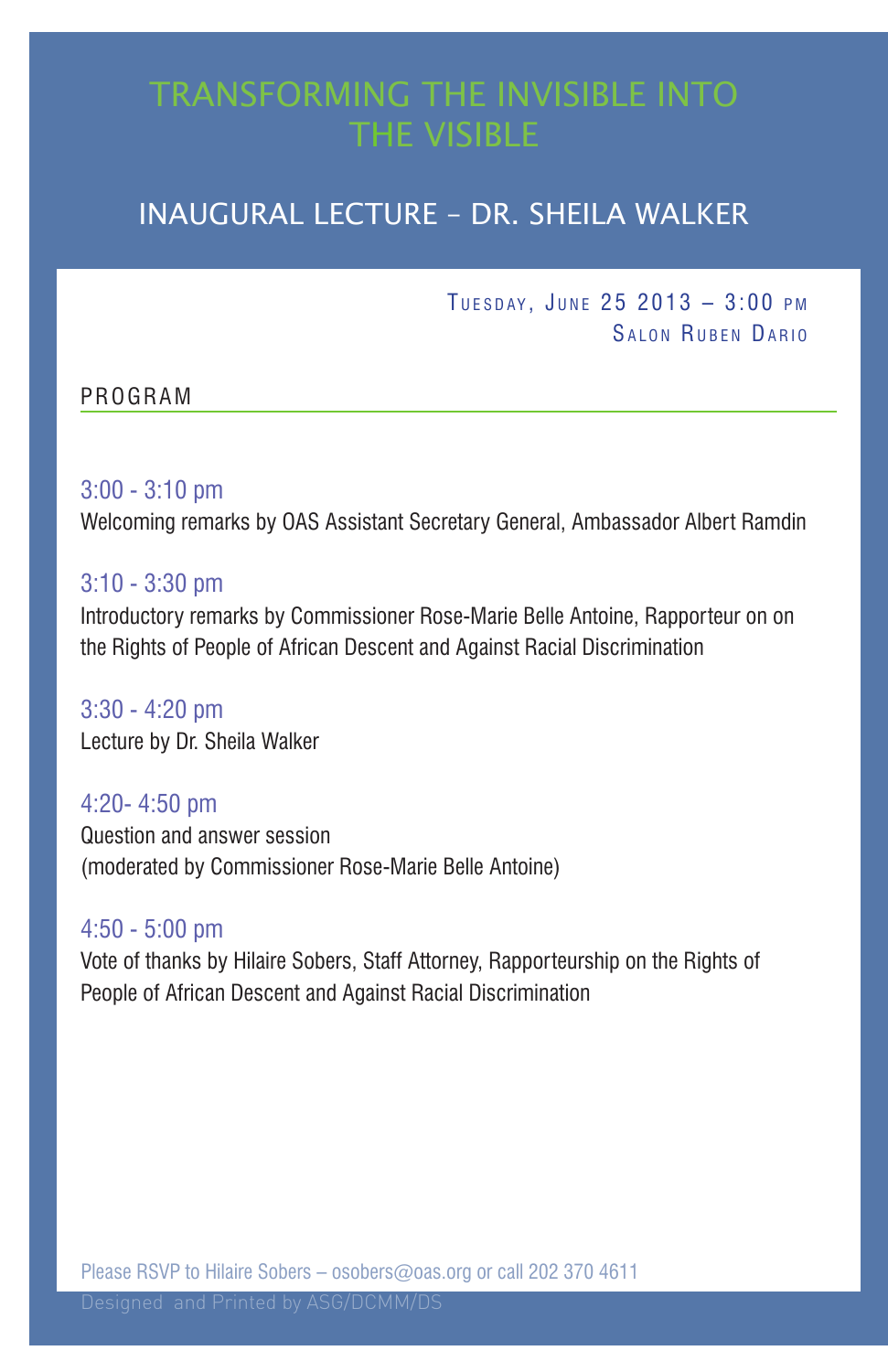## TRANSFORMING THE INVISIBLE INTO THE VISIBLE

## INAUGURAL LECTURE – DR. SHEILA WALKER

TUESDAY, JUNE  $25\ 2013 - 3:00\ \text{PM}$ SALON RUBEN DARIO

#### PROGRAM

#### 3:00 - 3:10 pm

Welcoming remarks by OAS Assistant Secretary General, Ambassador Albert Ramdin

#### 3:10 - 3:30 pm

Introductory remarks by Commissioner Rose-Marie Belle Antoine, Rapporteur on on the Rights of People of African Descent and Against Racial Discrimination

3:30 - 4:20 pm Lecture by Dr. Sheila Walker

4:20- 4:50 pm Question and answer session (moderated by Commissioner Rose-Marie Belle Antoine)

#### 4:50 - 5:00 pm

Vote of thanks by Hilaire Sobers, Staff Attorney, Rapporteurship on the Rights of People of African Descent and Against Racial Discrimination